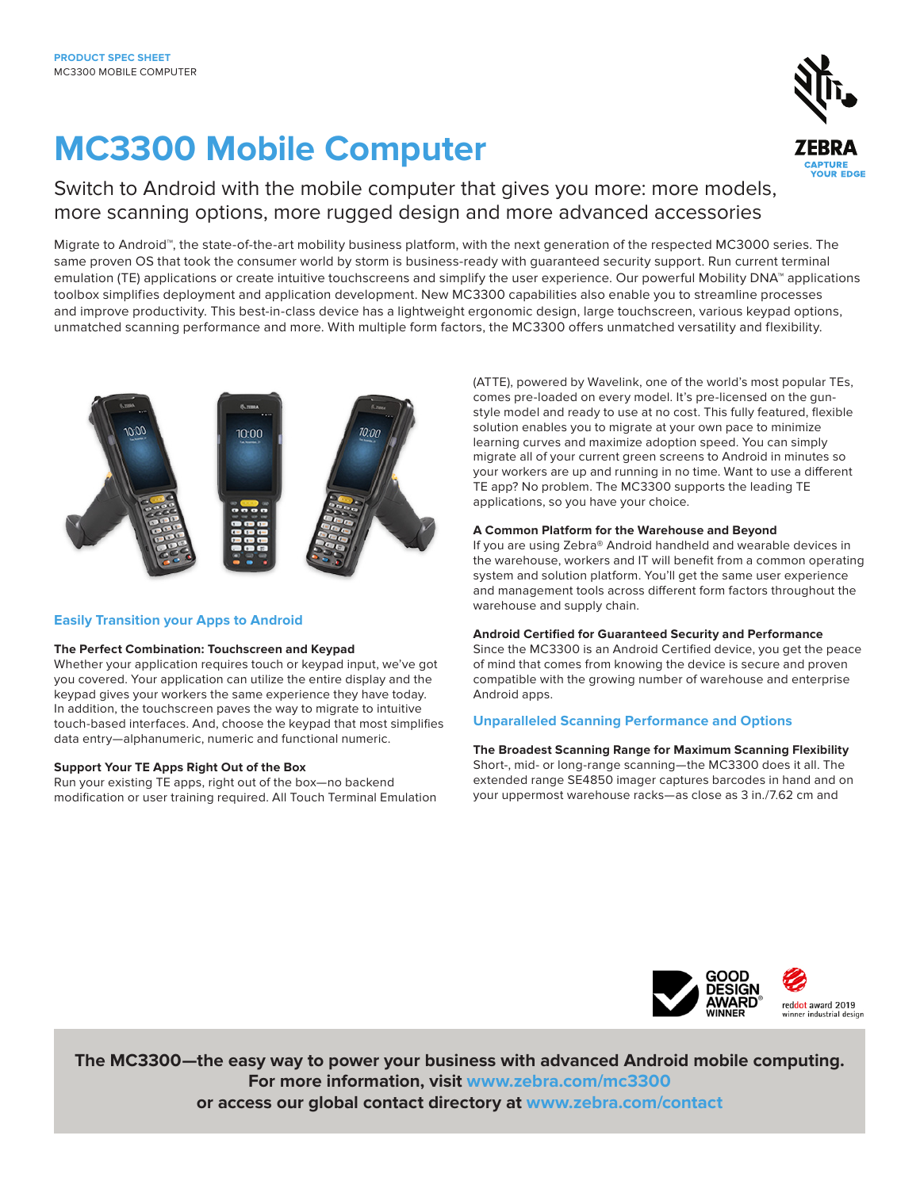# **MC3300 Mobile Computer**



Switch to Android with the mobile computer that gives you more: more models, more scanning options, more rugged design and more advanced accessories

Migrate to Android™, the state-of-the-art mobility business platform, with the next generation of the respected MC3000 series. The same proven OS that took the consumer world by storm is business-ready with guaranteed security support. Run current terminal emulation (TE) applications or create intuitive touchscreens and simplify the user experience. Our powerful Mobility DNA™ applications toolbox simplifies deployment and application development. New MC3300 capabilities also enable you to streamline processes and improve productivity. This best-in-class device has a lightweight ergonomic design, large touchscreen, various keypad options, unmatched scanning performance and more. With multiple form factors, the MC3300 offers unmatched versatility and flexibility.



#### **Easily Transition your Apps to Android**

#### **The Perfect Combination: Touchscreen and Keypad**

Whether your application requires touch or keypad input, we've got you covered. Your application can utilize the entire display and the keypad gives your workers the same experience they have today. In addition, the touchscreen paves the way to migrate to intuitive touch-based interfaces. And, choose the keypad that most simplifies data entry—alphanumeric, numeric and functional numeric.

#### **Support Your TE Apps Right Out of the Box**

Run your existing TE apps, right out of the box—no backend modification or user training required. All Touch Terminal Emulation (ATTE), powered by Wavelink, one of the world's most popular TEs, comes pre-loaded on every model. It's pre-licensed on the gunstyle model and ready to use at no cost. This fully featured, flexible solution enables you to migrate at your own pace to minimize learning curves and maximize adoption speed. You can simply migrate all of your current green screens to Android in minutes so your workers are up and running in no time. Want to use a different TE app? No problem. The MC3300 supports the leading TE applications, so you have your choice.

#### **A Common Platform for the Warehouse and Beyond**

If you are using Zebra® Android handheld and wearable devices in the warehouse, workers and IT will benefit from a common operating system and solution platform. You'll get the same user experience and management tools across different form factors throughout the warehouse and supply chain.

#### **Android Certified for Guaranteed Security and Performance**

Since the MC3300 is an Android Certified device, you get the peace of mind that comes from knowing the device is secure and proven compatible with the growing number of warehouse and enterprise Android apps.

#### **Unparalleled Scanning Performance and Options**

**The Broadest Scanning Range for Maximum Scanning Flexibility** Short-, mid- or long-range scanning—the MC3300 does it all. The extended range SE4850 imager captures barcodes in hand and on your uppermost warehouse racks—as close as 3 in./7.62 cm and



reddot award 2019

**The MC3300—the easy way to power your business with advanced Android mobile computing. For more information, visit [www.zebra.com/mc3300](https://www.zebra.com/us/en/products/mobile-computers/handheld/mc3300.html) or access our global contact directory at [www.zebra.com/contact](https://www.zebra.com/us/en/about-zebra/contact-zebra.html)**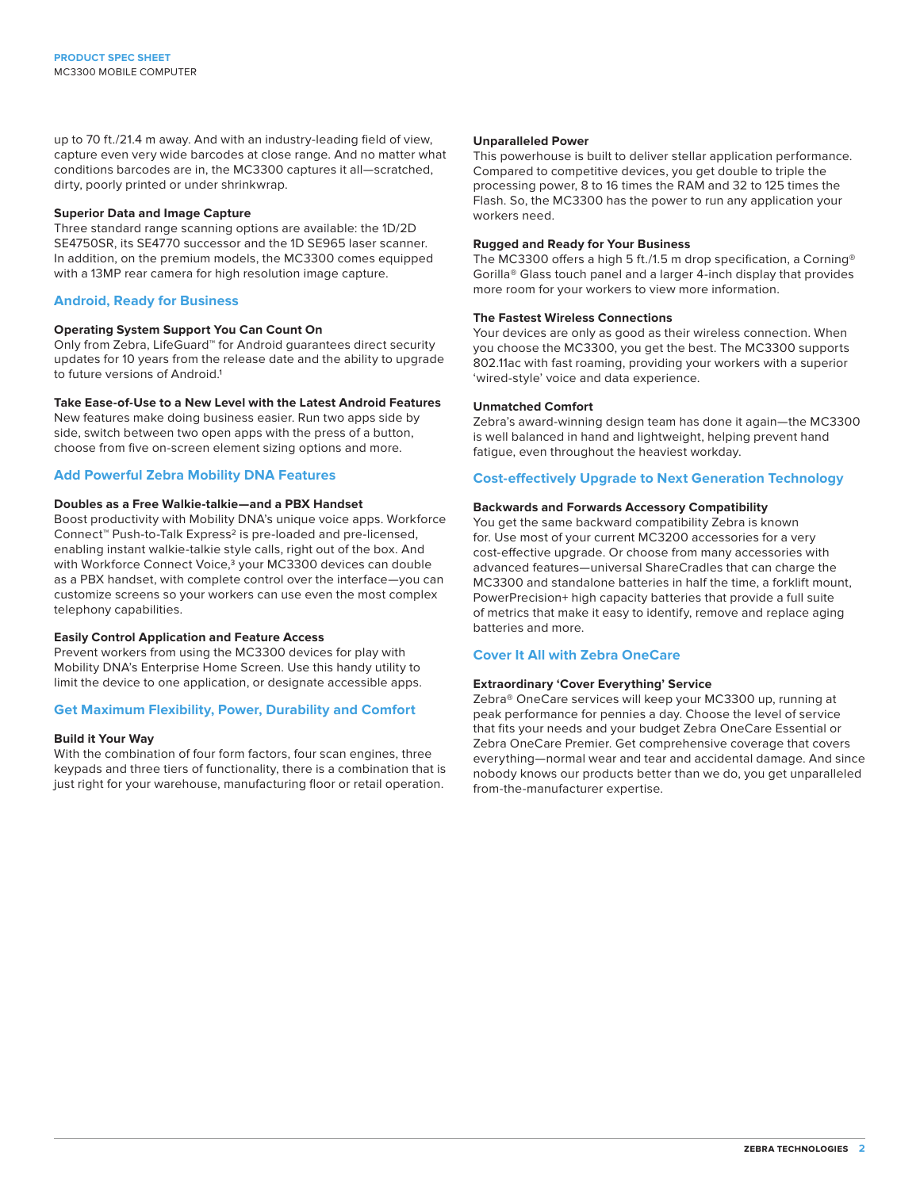up to 70 ft./21.4 m away. And with an industry-leading field of view, capture even very wide barcodes at close range. And no matter what conditions barcodes are in, the MC3300 captures it all—scratched, dirty, poorly printed or under shrinkwrap.

#### **Superior Data and Image Capture**

Three standard range scanning options are available: the 1D/2D SE4750SR, its SE4770 successor and the 1D SE965 laser scanner. In addition, on the premium models, the MC3300 comes equipped with a 13MP rear camera for high resolution image capture.

#### **Android, Ready for Business**

#### **Operating System Support You Can Count On**

Only from Zebra, LifeGuard™ for Android guarantees direct security updates for 10 years from the release date and the ability to upgrade to future versions of Android.<sup>1</sup>

#### **Take Ease-of-Use to a New Level with the Latest Android Features**

New features make doing business easier. Run two apps side by side, switch between two open apps with the press of a button,

choose from five on-screen element sizing options and more.

#### **Add Powerful Zebra Mobility DNA Features**

#### **Doubles as a Free Walkie-talkie—and a PBX Handset**

Boost productivity with Mobility DNA's unique voice apps. Workforce Connect™ Push-to-Talk Express2 is pre-loaded and pre-licensed, enabling instant walkie-talkie style calls, right out of the box. And with Workforce Connect Voice,<sup>3</sup> your MC3300 devices can double as a PBX handset, with complete control over the interface—you can customize screens so your workers can use even the most complex telephony capabilities.

#### **Easily Control Application and Feature Access**

Prevent workers from using the MC3300 devices for play with Mobility DNA's Enterprise Home Screen. Use this handy utility to limit the device to one application, or designate accessible apps.

#### **Get Maximum Flexibility, Power, Durability and Comfort**

#### **Build it Your Way**

With the combination of four form factors, four scan engines, three keypads and three tiers of functionality, there is a combination that is just right for your warehouse, manufacturing floor or retail operation.

#### **Unparalleled Power**

This powerhouse is built to deliver stellar application performance. Compared to competitive devices, you get double to triple the processing power, 8 to 16 times the RAM and 32 to 125 times the Flash. So, the MC3300 has the power to run any application your workers need.

#### **Rugged and Ready for Your Business**

The MC3300 offers a high 5 ft./1.5 m drop specification, a Corning® Gorilla® Glass touch panel and a larger 4-inch display that provides more room for your workers to view more information.

#### **The Fastest Wireless Connections**

Your devices are only as good as their wireless connection. When you choose the MC3300, you get the best. The MC3300 supports 802.11ac with fast roaming, providing your workers with a superior 'wired-style' voice and data experience.

#### **Unmatched Comfort**

Zebra's award-winning design team has done it again—the MC3300 is well balanced in hand and lightweight, helping prevent hand fatigue, even throughout the heaviest workday.

#### **Cost-effectively Upgrade to Next Generation Technology**

#### **Backwards and Forwards Accessory Compatibility**

You get the same backward compatibility Zebra is known for. Use most of your current MC3200 accessories for a very cost-effective upgrade. Or choose from many accessories with advanced features—universal ShareCradles that can charge the MC3300 and standalone batteries in half the time, a forklift mount, PowerPrecision+ high capacity batteries that provide a full suite of metrics that make it easy to identify, remove and replace aging batteries and more.

#### **Cover It All with Zebra OneCare**

#### **Extraordinary 'Cover Everything' Service**

Zebra® OneCare services will keep your MC3300 up, running at peak performance for pennies a day. Choose the level of service that fits your needs and your budget Zebra OneCare Essential or Zebra OneCare Premier. Get comprehensive coverage that covers everything—normal wear and tear and accidental damage. And since nobody knows our products better than we do, you get unparalleled from-the-manufacturer expertise.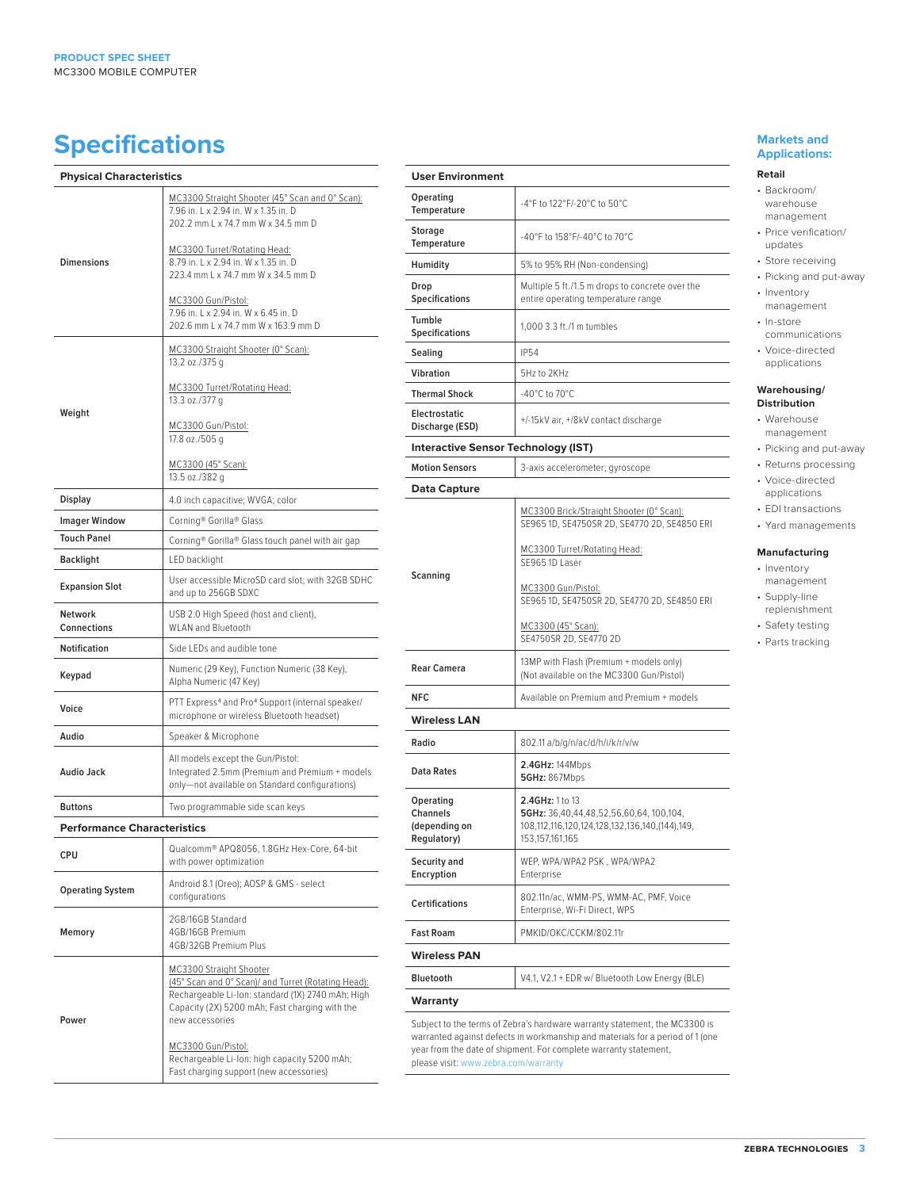# **Specifications Markets and** <br> **Specifications**

| <b>Physical Characteristics</b>      |                                                                                                                                                                                                                                                                                                                           |
|--------------------------------------|---------------------------------------------------------------------------------------------------------------------------------------------------------------------------------------------------------------------------------------------------------------------------------------------------------------------------|
| Dimensions                           | MC3300 Straight Shooter (45° Scan and 0° Scan):<br>7.96 in, L x 2.94 in, W x 1.35 in, D<br>202.2 mm L x 74.7 mm W x 34.5 mm D<br>MC3300 Turret/Rotating Head:<br>8.79 in, L x 2.94 in, W x 1.35 in, D<br>223.4 mm L x 74.7 mm W x 34.5 mm D                                                                               |
|                                      | MC3300 Gun/Pistol:<br>7.96 in, L x 2.94 in, W x 6.45 in, D<br>202.6 mm L x 74.7 mm W x 163.9 mm D                                                                                                                                                                                                                         |
| Weight                               | MC3300 Straight Shooter (0° Scan):<br>13.2 oz./375 g                                                                                                                                                                                                                                                                      |
|                                      | MC3300 Turret/Rotating Head:<br>13.3 oz./377 g                                                                                                                                                                                                                                                                            |
|                                      | MC3300 Gun/Pistol:<br>17.8 oz./505 g                                                                                                                                                                                                                                                                                      |
|                                      | MC3300 (45° Scan):<br>13.5 oz./382 g                                                                                                                                                                                                                                                                                      |
| Display                              | 4.0 inch capacitive; WVGA; color                                                                                                                                                                                                                                                                                          |
| <b>Imager Window</b>                 | Corning® Gorilla® Glass                                                                                                                                                                                                                                                                                                   |
| <b>Touch Panel</b>                   | Corning® Gorilla® Glass touch panel with air gap                                                                                                                                                                                                                                                                          |
| Backlight                            | LED backlight                                                                                                                                                                                                                                                                                                             |
| <b>Expansion Slot</b>                | User accessible MicroSD card slot; with 32GB SDHC<br>and up to 256GB SDXC                                                                                                                                                                                                                                                 |
| <b>Network</b><br><b>Connections</b> | USB 2.0 High Speed (host and client),<br><b>WLAN and Bluetooth</b>                                                                                                                                                                                                                                                        |
| <b>Notification</b>                  | Side LEDs and audible tone                                                                                                                                                                                                                                                                                                |
| Keypad                               | Numeric (29 Key), Function Numeric (38 Key),<br>Alpha Numeric (47 Key)                                                                                                                                                                                                                                                    |
| Voice                                | PTT Express <sup>4</sup> and Pro <sup>4</sup> Support (internal speaker/<br>microphone or wireless Bluetooth headset)                                                                                                                                                                                                     |
| Audio                                | Speaker & Microphone                                                                                                                                                                                                                                                                                                      |
| <b>Audio Jack</b>                    | All models except the Gun/Pistol:<br>Integrated 2.5mm (Premium and Premium + models<br>only-not available on Standard configurations)                                                                                                                                                                                     |
| <b>Buttons</b>                       | Two programmable side scan keys                                                                                                                                                                                                                                                                                           |
| <b>Performance Characteristics</b>   |                                                                                                                                                                                                                                                                                                                           |
| CPU                                  | Qualcomm® APQ8056, 1.8GHz Hex-Core, 64-bit<br>with power optimization                                                                                                                                                                                                                                                     |
| <b>Operating System</b>              | Android 8.1 (Oreo); AOSP & GMS - select<br>configurations                                                                                                                                                                                                                                                                 |
| Memory                               | 2GB/16GB Standard<br>4GB/16GB Premium<br>4GB/32GB Premium Plus                                                                                                                                                                                                                                                            |
| Power                                | MC3300 Straight Shooter<br>(45° Scan and 0° Scan)/ and Turret (Rotating Head):<br>Rechargeable Li-Ion: standard (1X) 2740 mAh; High<br>Capacity (2X) 5200 mAh; Fast charging with the<br>new accessories<br>MC3300 Gun/Pistol:<br>Rechargeable Li-Ion: high capacity 5200 mAh;<br>Fast charging support (new accessories) |

| <b>User Environment</b>                                      |                                                                                                                                                                                                                                 |
|--------------------------------------------------------------|---------------------------------------------------------------------------------------------------------------------------------------------------------------------------------------------------------------------------------|
| Operating<br>Temperature                                     | -4°F to 122°F/-20°C to 50°C                                                                                                                                                                                                     |
| <b>Storage</b><br>Temperature                                | -40°F to 158°F/-40°C to 70°C                                                                                                                                                                                                    |
| Humidity                                                     | 5% to 95% RH (Non-condensing)                                                                                                                                                                                                   |
| Drop<br><b>Specifications</b>                                | Multiple 5 ft./1.5 m drops to concrete over the<br>entire operating temperature range                                                                                                                                           |
| Tumble<br>Specifications                                     | 1.000 3.3 ft./1 m tumbles                                                                                                                                                                                                       |
| Sealing                                                      | <b>IP54</b>                                                                                                                                                                                                                     |
| Vibration                                                    | 5Hz to 2KHz                                                                                                                                                                                                                     |
| <b>Thermal Shock</b>                                         | -40°C to 70°C                                                                                                                                                                                                                   |
| Electrostatic<br>Discharge (ESD)                             | +/-15kV air, +/8kV contact discharge                                                                                                                                                                                            |
| <b>Interactive Sensor Technology (IST)</b>                   |                                                                                                                                                                                                                                 |
| <b>Motion Sensors</b>                                        | 3-axis accelerometer; gyroscope                                                                                                                                                                                                 |
| <b>Data Capture</b>                                          |                                                                                                                                                                                                                                 |
| Scanning                                                     | MC3300 Brick/Straight Shooter (0° Scan):<br>SE965 1D, SE4750SR 2D, SE4770 2D, SE4850 ERI                                                                                                                                        |
|                                                              | MC3300 Turret/Rotating Head:<br>SE965 1D Laser                                                                                                                                                                                  |
|                                                              | MC3300 Gun/Pistol:<br>SE965 1D, SE4750SR 2D, SE4770 2D, SE4850 ERI                                                                                                                                                              |
|                                                              | MC3300 (45° Scan):<br>SE4750SR 2D, SE4770 2D                                                                                                                                                                                    |
| <b>Rear Camera</b>                                           | 13MP with Flash (Premium + models only)<br>(Not available on the MC3300 Gun/Pistol)                                                                                                                                             |
| <b>NFC</b>                                                   | Available on Premium and Premium + models                                                                                                                                                                                       |
| <b>Wireless LAN</b>                                          |                                                                                                                                                                                                                                 |
| Radio                                                        | 802.11 a/b/g/n/ac/d/h/i/k/r/v/w                                                                                                                                                                                                 |
| <b>Data Rates</b>                                            | 2.4GHz: 144Mbps<br><b>5GHz: 867Mbps</b>                                                                                                                                                                                         |
| Operating<br><b>Channels</b><br>(depending on<br>Regulatory) | 2.4GHz: 1 to 13<br>5GHz: 36,40,44,48,52,56,60,64, 100,104,<br>108,112,116,120,124,128,132,136,140,(144),149,<br>153, 157, 161, 165                                                                                              |
| Security and<br>Encryption                                   | WEP, WPA/WPA2 PSK, WPA/WPA2<br>Enterprise                                                                                                                                                                                       |
| <b>Certifications</b>                                        | 802.11n/ac, WMM-PS, WMM-AC, PMF, Voice<br>Enterprise, Wi-Fi Direct, WPS                                                                                                                                                         |
| <b>Fast Roam</b>                                             | PMKID/OKC/CCKM/802.11r                                                                                                                                                                                                          |
| <b>Wireless PAN</b>                                          |                                                                                                                                                                                                                                 |
| <b>Bluetooth</b>                                             | V4.1, V2.1 + EDR w/ Bluetooth Low Energy (BLE)                                                                                                                                                                                  |
| Warranty                                                     |                                                                                                                                                                                                                                 |
|                                                              | Subject to the terms of Zebra's hardware warranty statement, the MC3300 is<br>warranted against defects in workmanship and materials for a period of 1 (one<br>year from the date of shipment. For complete warranty statement, |

please visit: [www.zebra.com/warranty](http://www.zebra.com/warranty)

## **Applications:**

#### **Retail**

- Backroom/ warehouse management
- Price verification/ updates
- Store receiving
- Picking and put-away
- Inventory management
- In-store communications • Voice-directed
- applications

### **Warehousing/**

- **Distribution** • Warehouse
- management
- Picking and put-away
- Returns processing
- Voice-directed applications
- EDI transactions
- Yard managements

#### **Manufacturing**

- Inventory management
- Supply-line replenishment
- Safety testing
- Parts tracking